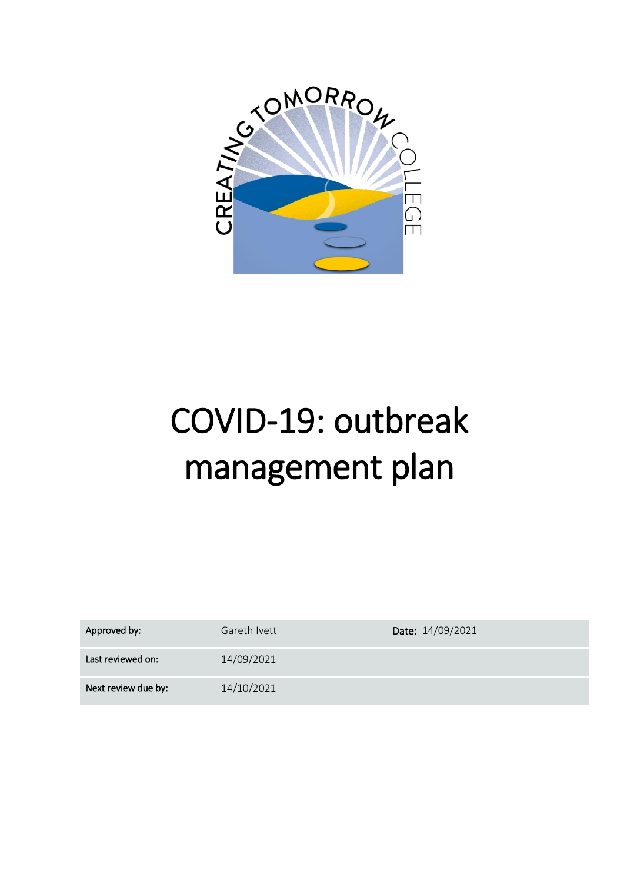

# COVID-19: outbreak management plan

| Approved by:        | Gareth Ivett | Date: 14/09/2021 |
|---------------------|--------------|------------------|
| Last reviewed on:   | 14/09/2021   |                  |
| Next review due by: | 14/10/2021   |                  |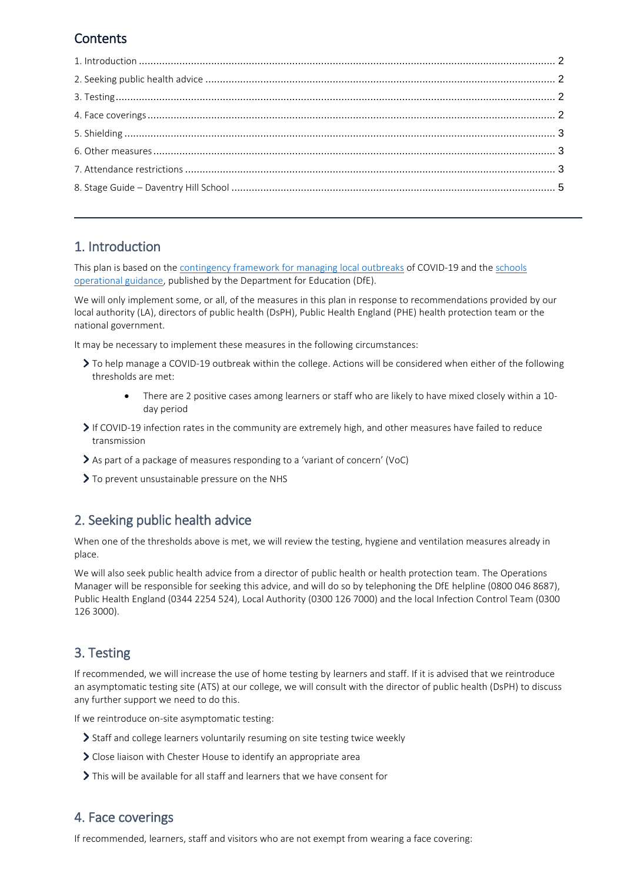## **Contents**

## <span id="page-1-0"></span>1. Introduction

This plan is based on th[e contingency framework for managing local outbreaks](https://www.gov.uk/government/publications/coronavirus-covid-19-local-restrictions-in-education-and-childcare-settings) of COVID-19 and the [schools](https://www.gov.uk/government/publications/actions-for-schools-during-the-coronavirus-outbreak)  [operational guidance,](https://www.gov.uk/government/publications/actions-for-schools-during-the-coronavirus-outbreak) published by the Department for Education (DfE).

We will only implement some, or all, of the measures in this plan in response to recommendations provided by our local authority (LA), directors of public health (DsPH), Public Health England (PHE) health protection team or the national government.

It may be necessary to implement these measures in the following circumstances:

- To help manage a COVID-19 outbreak within the college. Actions will be considered when either of the following thresholds are met:
	- There are 2 positive cases among learners or staff who are likely to have mixed closely within a 10 day period
- If COVID-19 infection rates in the community are extremely high, and other measures have failed to reduce transmission
- As part of a package of measures responding to a 'variant of concern' (VoC)
- $\geq$  To prevent unsustainable pressure on the NHS

## <span id="page-1-1"></span>2. Seeking public health advice

When one of the thresholds above is met, we will review the testing, hygiene and ventilation measures already in place.

We will also seek public health advice from a director of public health or health protection team. The Operations Manager will be responsible for seeking this advice, and will do so by telephoning the DfE helpline (0800 046 8687), Public Health England (0344 2254 524), Local Authority (0300 126 7000) and the local Infection Control Team (0300 126 3000).

## <span id="page-1-2"></span>3. Testing

If recommended, we will increase the use of home testing by learners and staff. If it is advised that we reintroduce an asymptomatic testing site (ATS) at our college, we will consult with the director of public health (DsPH) to discuss any further support we need to do this.

If we reintroduce on-site asymptomatic testing:

- Staff and college learners voluntarily resuming on site testing twice weekly
- Close liaison with Chester House to identify an appropriate area
- This will be available for all staff and learners that we have consent for

#### <span id="page-1-3"></span>4. Face coverings

If recommended, learners, staff and visitors who are not exempt from wearing a face covering: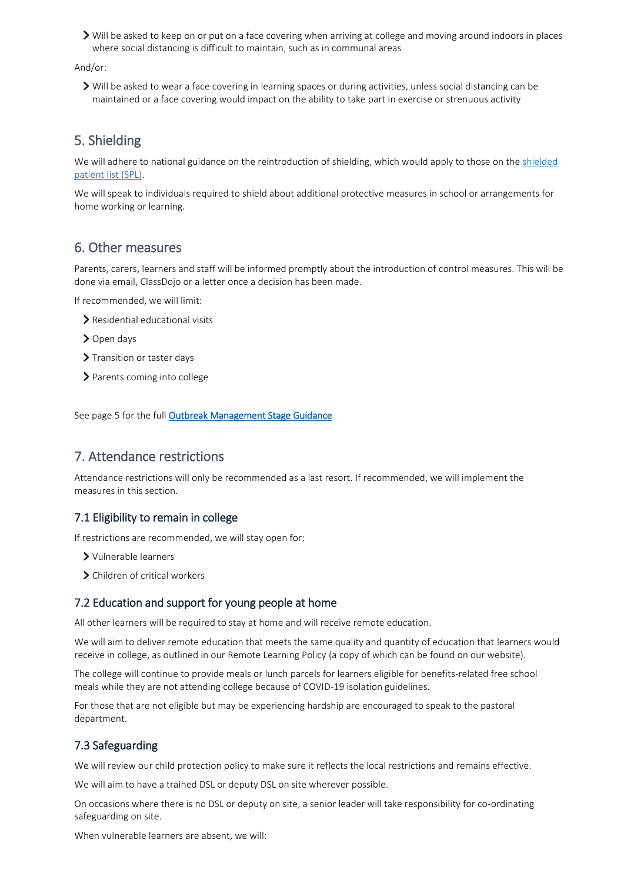Will be asked to keep on or put on a face covering when arriving at college and moving around indoors in places where social distancing is difficult to maintain, such as in communal areas

And/or:

Will be asked to wear a face covering in learning spaces or during activities, unless social distancing can be maintained or a face covering would impact on the ability to take part in exercise or strenuous activity

## <span id="page-2-0"></span>5. Shielding

We will adhere to national guidance on the reintroduction of shielding, which would apply to those on th[e shielded](https://digital.nhs.uk/coronavirus/shielded-patient-list)  [patient list \(SPL\).](https://digital.nhs.uk/coronavirus/shielded-patient-list)

We will speak to individuals required to shield about additional protective measures in school or arrangements for home working or learning.

#### <span id="page-2-1"></span>6. Other measures

Parents, carers, learners and staff will be informed promptly about the introduction of control measures. This will be done via email, ClassDojo or a letter once a decision has been made.

If recommended, we will limit:

- > Residential educational visits
- > Open days
- > Transition or taster days
- > Parents coming into college

See page 5 for the full [Outbreak Management Stage Guidance](#page-4-0)

#### <span id="page-2-2"></span>7. Attendance restrictions

Attendance restrictions will only be recommended as a last resort. If recommended, we will implement the measures in this section.

#### 7.1 Eligibility to remain in college

If restrictions are recommended, we will stay open for:

- Vulnerable learners
- > Children of critical workers

#### 7.2 Education and support for young people at home

All other learners will be required to stay at home and will receive remote education.

We will aim to deliver remote education that meets the same quality and quantity of education that learners would receive in college, as outlined in our Remote Learning Policy (a copy of which can be found on our website).

The college will continue to provide meals or lunch parcels for learners eligible for benefits-related free school meals while they are not attending college because of COVID-19 isolation guidelines.

For those that are not eligible but may be experiencing hardship are encouraged to speak to the pastoral department.

#### 7.3 Safeguarding

We will review our child protection policy to make sure it reflects the local restrictions and remains effective.

We will aim to have a trained DSL or deputy DSL on site wherever possible.

On occasions where there is no DSL or deputy on site, a senior leader will take responsibility for co-ordinating safeguarding on site.

When vulnerable learners are absent, we will: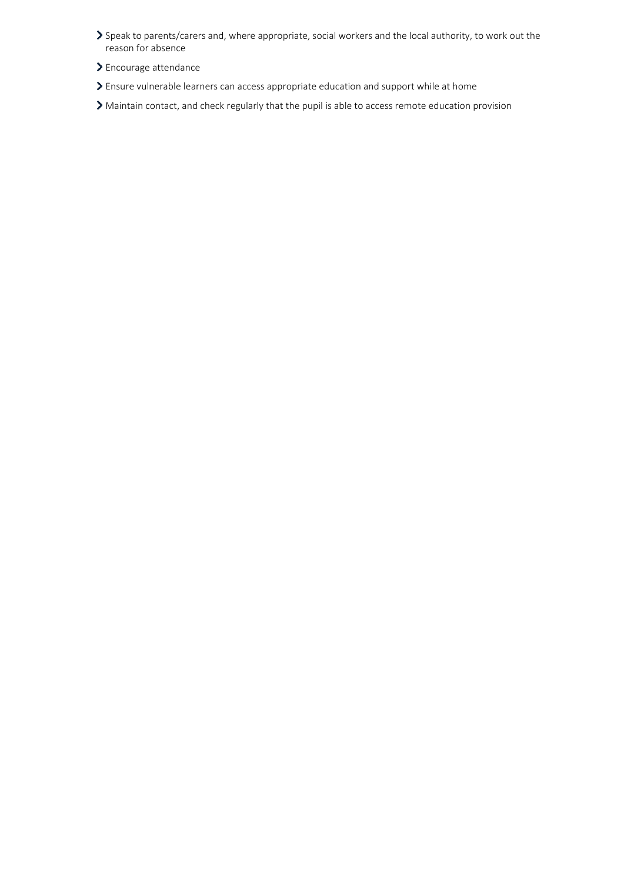- Speak to parents/carers and, where appropriate, social workers and the local authority, to work out the reason for absence
- Encourage attendance
- Ensure vulnerable learners can access appropriate education and support while at home

<span id="page-3-0"></span>Maintain contact, and check regularly that the pupil is able to access remote education provision